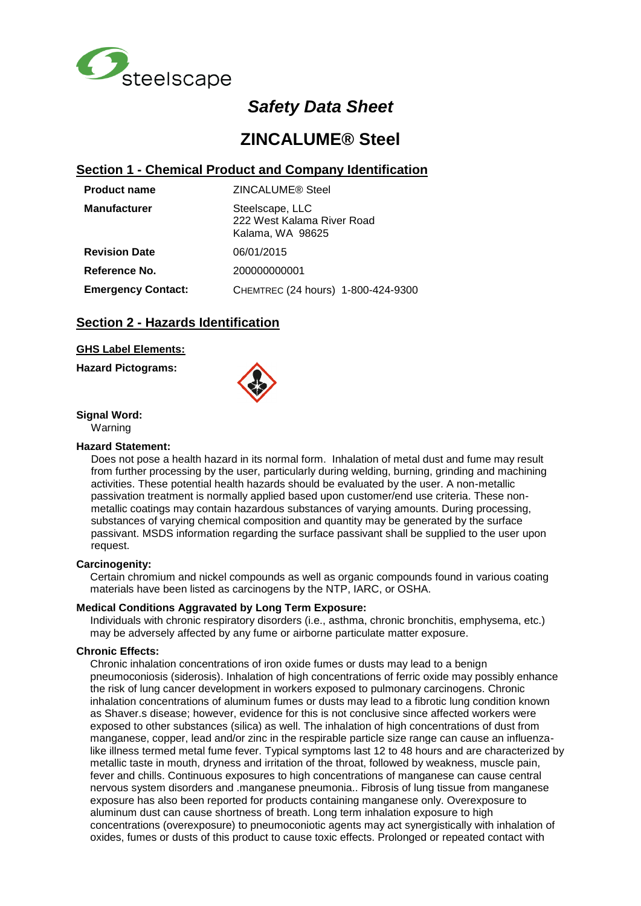

# *Safety Data Sheet*

# **ZINCALUME® Steel**

## **Section 1 - Chemical Product and Company Identification**

| <b>Product name</b>       | ZINCALUME® Steel                                                  |  |  |
|---------------------------|-------------------------------------------------------------------|--|--|
| <b>Manufacturer</b>       | Steelscape, LLC<br>222 West Kalama River Road<br>Kalama, WA 98625 |  |  |
| <b>Revision Date</b>      | 06/01/2015                                                        |  |  |
| Reference No.             | 200000000001                                                      |  |  |
| <b>Emergency Contact:</b> | CHEMTREC (24 hours) 1-800-424-9300                                |  |  |

# **Section 2 - Hazards Identification**

### **GHS Label Elements:**

**Hazard Pictograms:**



**Signal Word:**

Warning

#### **Hazard Statement:**

Does not pose a health hazard in its normal form. Inhalation of metal dust and fume may result from further processing by the user, particularly during welding, burning, grinding and machining activities. These potential health hazards should be evaluated by the user. A non-metallic passivation treatment is normally applied based upon customer/end use criteria. These nonmetallic coatings may contain hazardous substances of varying amounts. During processing, substances of varying chemical composition and quantity may be generated by the surface passivant. MSDS information regarding the surface passivant shall be supplied to the user upon request.

### **Carcinogenity:**

Certain chromium and nickel compounds as well as organic compounds found in various coating materials have been listed as carcinogens by the NTP, IARC, or OSHA.

### **Medical Conditions Aggravated by Long Term Exposure:**

Individuals with chronic respiratory disorders (i.e., asthma, chronic bronchitis, emphysema, etc.) may be adversely affected by any fume or airborne particulate matter exposure.

#### **Chronic Effects:**

Chronic inhalation concentrations of iron oxide fumes or dusts may lead to a benign pneumoconiosis (siderosis). Inhalation of high concentrations of ferric oxide may possibly enhance the risk of lung cancer development in workers exposed to pulmonary carcinogens. Chronic inhalation concentrations of aluminum fumes or dusts may lead to a fibrotic lung condition known as Shaver.s disease; however, evidence for this is not conclusive since affected workers were exposed to other substances (silica) as well. The inhalation of high concentrations of dust from manganese, copper, lead and/or zinc in the respirable particle size range can cause an influenzalike illness termed metal fume fever. Typical symptoms last 12 to 48 hours and are characterized by metallic taste in mouth, dryness and irritation of the throat, followed by weakness, muscle pain, fever and chills. Continuous exposures to high concentrations of manganese can cause central nervous system disorders and .manganese pneumonia.. Fibrosis of lung tissue from manganese exposure has also been reported for products containing manganese only. Overexposure to aluminum dust can cause shortness of breath. Long term inhalation exposure to high concentrations (overexposure) to pneumoconiotic agents may act synergistically with inhalation of oxides, fumes or dusts of this product to cause toxic effects. Prolonged or repeated contact with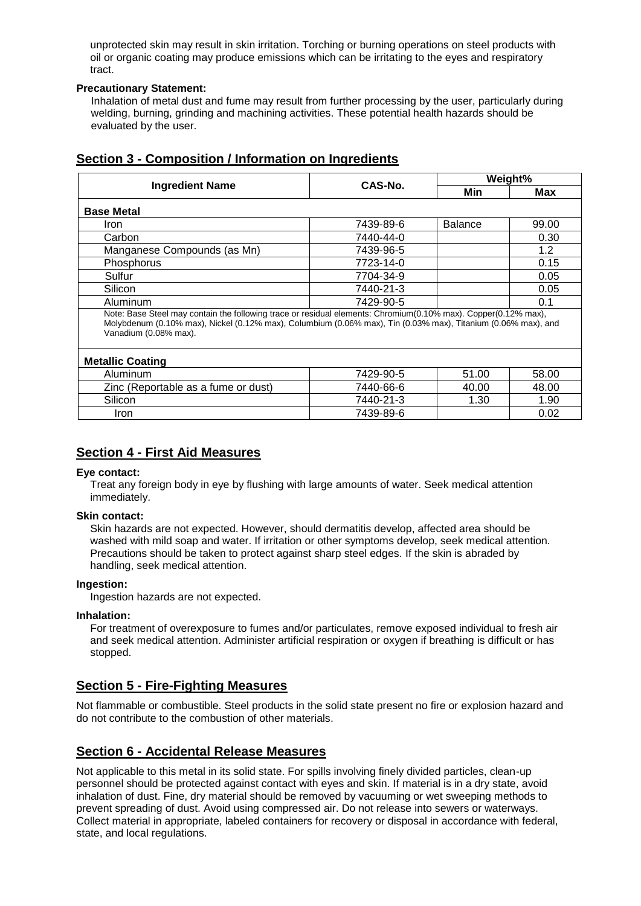unprotected skin may result in skin irritation. Torching or burning operations on steel products with oil or organic coating may produce emissions which can be irritating to the eyes and respiratory tract.

### **Precautionary Statement:**

Inhalation of metal dust and fume may result from further processing by the user, particularly during welding, burning, grinding and machining activities. These potential health hazards should be evaluated by the user.

# **Section 3 - Composition / Information on Ingredients**

|                                                                                                                                                                                                                                                          | CAS-No.   | Weight%        |       |  |  |  |
|----------------------------------------------------------------------------------------------------------------------------------------------------------------------------------------------------------------------------------------------------------|-----------|----------------|-------|--|--|--|
| <b>Ingredient Name</b>                                                                                                                                                                                                                                   |           | Min            | Max   |  |  |  |
| <b>Base Metal</b>                                                                                                                                                                                                                                        |           |                |       |  |  |  |
| Iron                                                                                                                                                                                                                                                     | 7439-89-6 | <b>Balance</b> | 99.00 |  |  |  |
| Carbon                                                                                                                                                                                                                                                   | 7440-44-0 |                | 0.30  |  |  |  |
| Manganese Compounds (as Mn)                                                                                                                                                                                                                              | 7439-96-5 |                | 1.2   |  |  |  |
| Phosphorus                                                                                                                                                                                                                                               | 7723-14-0 |                | 0.15  |  |  |  |
| Sulfur                                                                                                                                                                                                                                                   | 7704-34-9 |                | 0.05  |  |  |  |
| Silicon                                                                                                                                                                                                                                                  | 7440-21-3 |                | 0.05  |  |  |  |
| Aluminum                                                                                                                                                                                                                                                 | 7429-90-5 |                | 0.1   |  |  |  |
| Note: Base Steel may contain the following trace or residual elements: Chromium(0.10% max). Copper(0.12% max),<br>Molybdenum (0.10% max), Nickel (0.12% max), Columbium (0.06% max), Tin (0.03% max), Titanium (0.06% max), and<br>Vanadium (0.08% max). |           |                |       |  |  |  |
| <b>Metallic Coating</b>                                                                                                                                                                                                                                  |           |                |       |  |  |  |
| Aluminum                                                                                                                                                                                                                                                 | 7429-90-5 | 51.00          | 58.00 |  |  |  |
| Zinc (Reportable as a fume or dust)                                                                                                                                                                                                                      | 7440-66-6 | 40.00          | 48.00 |  |  |  |
| Silicon                                                                                                                                                                                                                                                  | 7440-21-3 | 1.30           | 1.90  |  |  |  |
| Iron                                                                                                                                                                                                                                                     | 7439-89-6 |                | 0.02  |  |  |  |

# **Section 4 - First Aid Measures**

### **Eye contact:**

Treat any foreign body in eye by flushing with large amounts of water. Seek medical attention immediately.

### **Skin contact:**

Skin hazards are not expected. However, should dermatitis develop, affected area should be washed with mild soap and water. If irritation or other symptoms develop, seek medical attention. Precautions should be taken to protect against sharp steel edges. If the skin is abraded by handling, seek medical attention.

### **Ingestion:**

Ingestion hazards are not expected.

### **Inhalation:**

For treatment of overexposure to fumes and/or particulates, remove exposed individual to fresh air and seek medical attention. Administer artificial respiration or oxygen if breathing is difficult or has stopped.

## **Section 5 - Fire-Fighting Measures**

Not flammable or combustible. Steel products in the solid state present no fire or explosion hazard and do not contribute to the combustion of other materials.

# **Section 6 - Accidental Release Measures**

Not applicable to this metal in its solid state. For spills involving finely divided particles, clean-up personnel should be protected against contact with eyes and skin. If material is in a dry state, avoid inhalation of dust. Fine, dry material should be removed by vacuuming or wet sweeping methods to prevent spreading of dust. Avoid using compressed air. Do not release into sewers or waterways. Collect material in appropriate, labeled containers for recovery or disposal in accordance with federal, state, and local regulations.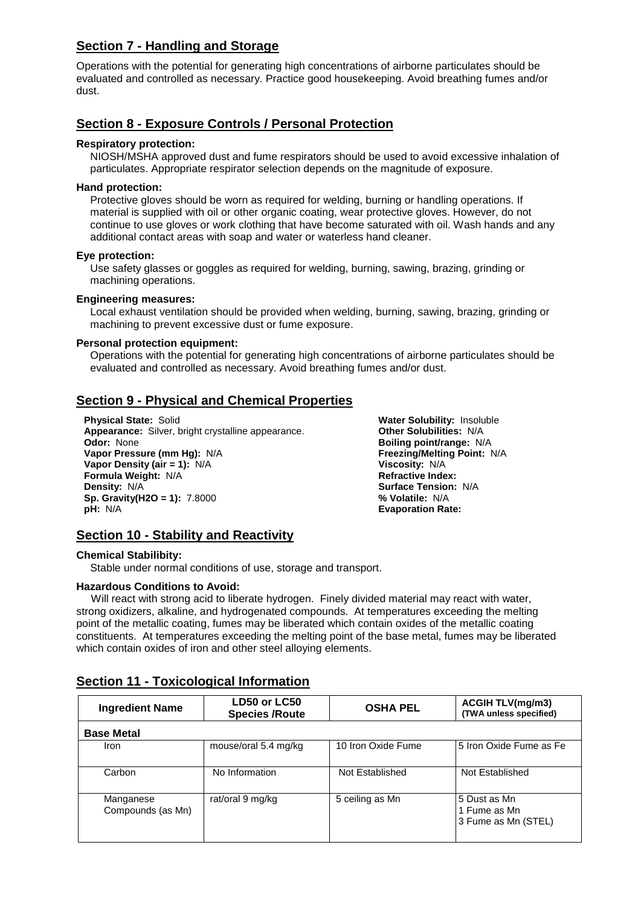# **Section 7 - Handling and Storage**

Operations with the potential for generating high concentrations of airborne particulates should be evaluated and controlled as necessary. Practice good housekeeping. Avoid breathing fumes and/or dust.

# **Section 8 - Exposure Controls / Personal Protection**

### **Respiratory protection:**

NIOSH/MSHA approved dust and fume respirators should be used to avoid excessive inhalation of particulates. Appropriate respirator selection depends on the magnitude of exposure.

### **Hand protection:**

Protective gloves should be worn as required for welding, burning or handling operations. If material is supplied with oil or other organic coating, wear protective gloves. However, do not continue to use gloves or work clothing that have become saturated with oil. Wash hands and any additional contact areas with soap and water or waterless hand cleaner.

### **Eye protection:**

Use safety glasses or goggles as required for welding, burning, sawing, brazing, grinding or machining operations.

### **Engineering measures:**

Local exhaust ventilation should be provided when welding, burning, sawing, brazing, grinding or machining to prevent excessive dust or fume exposure.

### **Personal protection equipment:**

Operations with the potential for generating high concentrations of airborne particulates should be evaluated and controlled as necessary. Avoid breathing fumes and/or dust.

# **Section 9 - Physical and Chemical Properties**

**Physical State:** Solid **Water Solubility:** Insoluble **Appearance:** Silver, bright crystalline appearance. **Other Solubilities:** N/A **Odor:** None **Boiling point/range:** N/ **Odor:** None **Boiling point/range:** N/A **Vapor Density (air = 1): N/A Formula Weight:** N/A **Refractive Index:**<br> **Refractive Index:**<br> **Refractive Index:**<br> **Refractive Index: Sp. Gravity(H2O = 1):** 7.8000 **% Volatile:** N/A **pH:** N/A **Evaporation Rate:** 

**Freezing/Melting Point: N/A Viscosity: N/A Density:** N/A **Surface Tension:** N/A

# **Section 10 - Stability and Reactivity**

### **Chemical Stabilibity:**

Stable under normal conditions of use, storage and transport.

### **Hazardous Conditions to Avoid:**

 Will react with strong acid to liberate hydrogen. Finely divided material may react with water, strong oxidizers, alkaline, and hydrogenated compounds. At temperatures exceeding the melting point of the metallic coating, fumes may be liberated which contain oxides of the metallic coating constituents. At temperatures exceeding the melting point of the base metal, fumes may be liberated which contain oxides of iron and other steel alloying elements.

| <b>Ingredient Name</b>         | LD50 or LC50<br><b>Species /Route</b> | <b>OSHA PEL</b>    | <b>ACGIH TLV(mg/m3)</b><br>(TWA unless specified)   |
|--------------------------------|---------------------------------------|--------------------|-----------------------------------------------------|
| <b>Base Metal</b>              |                                       |                    |                                                     |
| Iron                           | mouse/oral 5.4 mg/kg                  | 10 Iron Oxide Fume | 5 Iron Oxide Fume as Fe                             |
| Carbon                         | No Information                        | Not Established    | Not Established                                     |
| Manganese<br>Compounds (as Mn) | rat/oral 9 mg/kg                      | 5 ceiling as Mn    | 5 Dust as Mn<br>1 Fume as Mn<br>3 Fume as Mn (STEL) |

## **Section 11 - Toxicological Information**